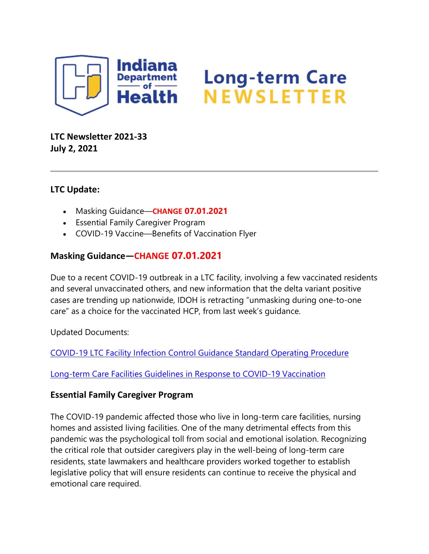

# **Long-term Care<br>NEWSLETTER**

**LTC Newsletter 2021-33 July 2, 2021**

### **LTC Update:**

- Masking Guidance—**CHANGE 07.01.2021**
- Essential Family Caregiver Program
- COVID-19 Vaccine—Benefits of Vaccination Flyer

#### **Masking Guidance—CHANGE 07.01.2021**

Due to a recent COVID-19 outbreak in a LTC facility, involving a few vaccinated residents and several unvaccinated others, and new information that the delta variant positive cases are trending up nationwide, IDOH is retracting "unmasking during one-to-one care" as a choice for the vaccinated HCP, from last week's guidance.

Updated Documents:

[COVID-19 LTC Facility Infection Control Guidance Standard Operating Procedure](https://content.govdelivery.com/attachments/INSDH/2021/07/02/file_attachments/1869941/IN_COVID-19%20LTC%20SOP%20checklist%2007.01.21.pdf)

[Long-term Care Facilities Guidelines in Response to COVID-19 Vaccination](https://content.govdelivery.com/attachments/INSDH/2021/07/02/file_attachments/1869945/LTC%20guidelines%20COVID-19%20Vaccination%2007.01.21.pdf)

#### **Essential Family Caregiver Program**

The COVID-19 pandemic affected those who live in long-term care facilities, nursing homes and assisted living facilities. One of the many detrimental effects from this pandemic was the psychological toll from social and emotional isolation. Recognizing the critical role that outsider caregivers play in the well-being of long-term care residents, state lawmakers and healthcare providers worked together to establish legislative policy that will ensure residents can continue to receive the physical and emotional care required.